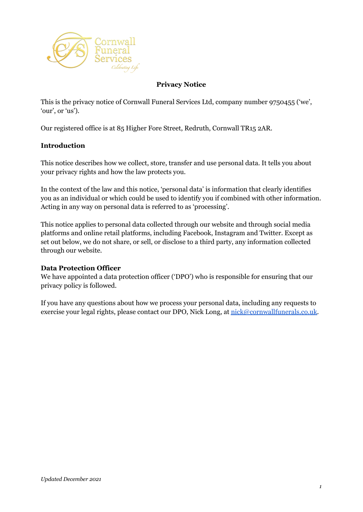

## **Privacy Notice**

This is the privacy notice of Cornwall Funeral Services Ltd, company number 9750455 ('we', 'our', or 'us').

Our registered office is at 85 Higher Fore Street, Redruth, Cornwall TR15 2AR.

#### **Introduction**

This notice describes how we collect, store, transfer and use personal data. It tells you about your privacy rights and how the law protects you.

In the context of the law and this notice, 'personal data' is information that clearly identifies you as an individual or which could be used to identify you if combined with other information. Acting in any way on personal data is referred to as 'processing'.

This notice applies to personal data collected through our website and through social media platforms and online retail platforms, including Facebook, Instagram and Twitter. Except as set out below, we do not share, or sell, or disclose to a third party, any information collected through our website.

#### **Data Protection Officer**

We have appointed a data protection officer ('DPO') who is responsible for ensuring that our privacy policy is followed.

If you have any questions about how we process your personal data, including any requests to exercise your legal rights, please contact our DPO, Nick Long, at [nick@cornwallfunerals.co.uk.](mailto:nick@cornwallfunerals.co.uk)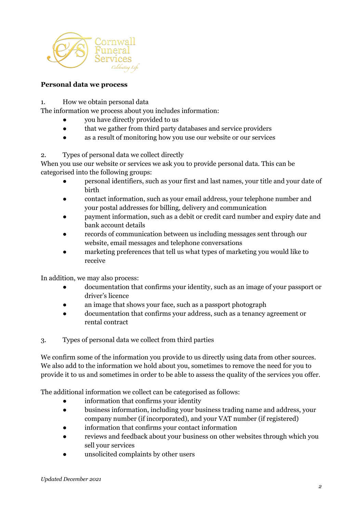

#### **Personal data we process**

1. How we obtain personal data

The information we process about you includes information:

- you have directly provided to us
- that we gather from third party databases and service providers
- as a result of monitoring how you use our website or our services

## 2. Types of personal data we collect directly

When you use our website or services we ask you to provide personal data. This can be categorised into the following groups:

- personal identifiers, such as your first and last names, your title and your date of birth
- contact information, such as your email address, your telephone number and your postal addresses for billing, delivery and communication
- payment information, such as a debit or credit card number and expiry date and bank account details
- records of communication between us including messages sent through our website, email messages and telephone conversations
- marketing preferences that tell us what types of marketing you would like to receive

In addition, we may also process:

- documentation that confirms your identity, such as an image of your passport or driver's licence
- an image that shows your face, such as a passport photograph
- documentation that confirms your address, such as a tenancy agreement or rental contract
- 3. Types of personal data we collect from third parties

We confirm some of the information you provide to us directly using data from other sources. We also add to the information we hold about you, sometimes to remove the need for you to provide it to us and sometimes in order to be able to assess the quality of the services you offer.

The additional information we collect can be categorised as follows:

- information that confirms your identity
- business information, including your business trading name and address, your company number (if incorporated), and your VAT number (if registered)
- information that confirms your contact information
- reviews and feedback about your business on other websites through which you sell your services
- unsolicited complaints by other users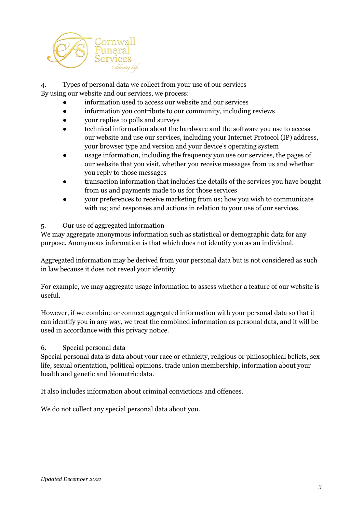

4. Types of personal data we collect from your use of our services By using our website and our services, we process:

information used to access our website and our services

- information you contribute to our community, including reviews
- your replies to polls and surveys
- technical information about the hardware and the software you use to access our website and use our services, including your Internet Protocol (IP) address, your browser type and version and your device's operating system
- usage information, including the frequency you use our services, the pages of our website that you visit, whether you receive messages from us and whether you reply to those messages
- transaction information that includes the details of the services you have bought from us and payments made to us for those services
- your preferences to receive marketing from us; how you wish to communicate with us; and responses and actions in relation to your use of our services.

#### 5. Our use of aggregated information

We may aggregate anonymous information such as statistical or demographic data for any purpose. Anonymous information is that which does not identify you as an individual.

Aggregated information may be derived from your personal data but is not considered as such in law because it does not reveal your identity.

For example, we may aggregate usage information to assess whether a feature of our website is useful.

However, if we combine or connect aggregated information with your personal data so that it can identify you in any way, we treat the combined information as personal data, and it will be used in accordance with this privacy notice.

6. Special personal data

Special personal data is data about your race or ethnicity, religious or philosophical beliefs, sex life, sexual orientation, political opinions, trade union membership, information about your health and genetic and biometric data.

It also includes information about criminal convictions and offences.

We do not collect any special personal data about you.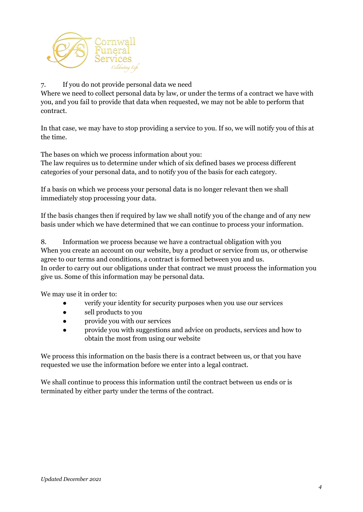

# 7. If you do not provide personal data we need

Where we need to collect personal data by law, or under the terms of a contract we have with you, and you fail to provide that data when requested, we may not be able to perform that contract.

In that case, we may have to stop providing a service to you. If so, we will notify you of this at the time.

The bases on which we process information about you:

The law requires us to determine under which of six defined bases we process different categories of your personal data, and to notify you of the basis for each category.

If a basis on which we process your personal data is no longer relevant then we shall immediately stop processing your data.

If the basis changes then if required by law we shall notify you of the change and of any new basis under which we have determined that we can continue to process your information.

8. Information we process because we have a contractual obligation with you When you create an account on our website, buy a product or service from us, or otherwise agree to our terms and conditions, a contract is formed between you and us. In order to carry out our obligations under that contract we must process the information you give us. Some of this information may be personal data.

We may use it in order to:

- verify your identity for security purposes when you use our services
- sell products to you
- provide you with our services
- provide you with suggestions and advice on products, services and how to obtain the most from using our website

We process this information on the basis there is a contract between us, or that you have requested we use the information before we enter into a legal contract.

We shall continue to process this information until the contract between us ends or is terminated by either party under the terms of the contract.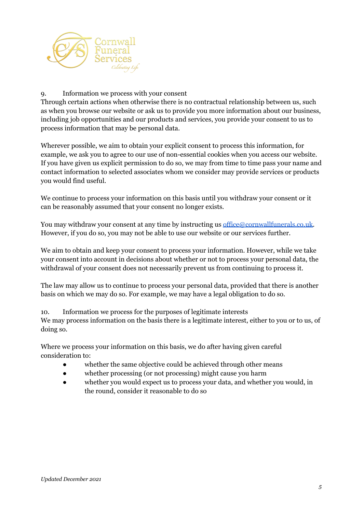

#### 9. Information we process with your consent

Through certain actions when otherwise there is no contractual relationship between us, such as when you browse our website or ask us to provide you more information about our business, including job opportunities and our products and services, you provide your consent to us to process information that may be personal data.

Wherever possible, we aim to obtain your explicit consent to process this information, for example, we ask you to agree to our use of non-essential cookies when you access our website. If you have given us explicit permission to do so, we may from time to time pass your name and contact information to selected associates whom we consider may provide services or products you would find useful.

We continue to process your information on this basis until you withdraw your consent or it can be reasonably assumed that your consent no longer exists.

You may withdraw your consent at any time by instructing us [office@cornwallfunerals.co.uk.](mailto:office@cornwallfunerals.co.uk) However, if you do so, you may not be able to use our website or our services further.

We aim to obtain and keep your consent to process your information. However, while we take your consent into account in decisions about whether or not to process your personal data, the withdrawal of your consent does not necessarily prevent us from continuing to process it.

The law may allow us to continue to process your personal data, provided that there is another basis on which we may do so. For example, we may have a legal obligation to do so.

10. Information we process for the purposes of legitimate interests We may process information on the basis there is a legitimate interest, either to you or to us, of doing so.

Where we process your information on this basis, we do after having given careful consideration to:

- whether the same objective could be achieved through other means
- whether processing (or not processing) might cause you harm
- whether you would expect us to process your data, and whether you would, in the round, consider it reasonable to do so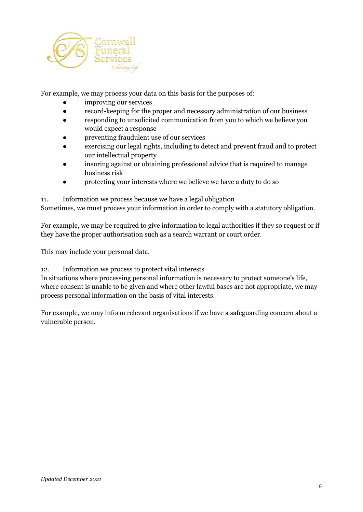

For example, we may process your data on this basis for the purposes of:

- improving our services
- record-keeping for the proper and necessary administration of our business
- responding to unsolicited communication from you to which we believe you would expect a response
- preventing fraudulent use of our services
- exercising our legal rights, including to detect and prevent fraud and to protect our intellectual property
- insuring against or obtaining professional advice that is required to manage business risk
- protecting your interests where we believe we have a duty to do so

11. Information we process because we have a legal obligation Sometimes, we must process your information in order to comply with a statutory obligation.

For example, we may be required to give information to legal authorities if they so request or if they have the proper authorisation such as a search warrant or court order.

This may include your personal data.

12. Information we process to protect vital interests

In situations where processing personal information is necessary to protect someone's life, where consent is unable to be given and where other lawful bases are not appropriate, we may process personal information on the basis of vital interests.

For example, we may inform relevant organisations if we have a safeguarding concern about a vulnerable person.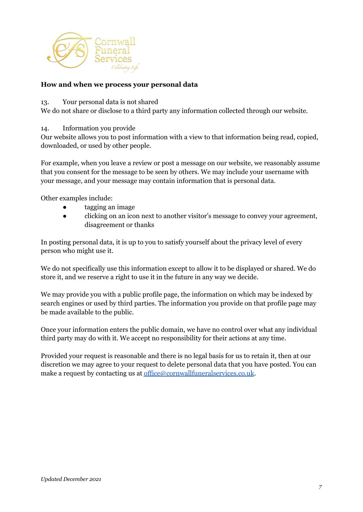

## **How and when we process your personal data**

13. Your personal data is not shared

We do not share or disclose to a third party any information collected through our website.

14. Information you provide

Our website allows you to post information with a view to that information being read, copied, downloaded, or used by other people.

For example, when you leave a review or post a message on our website, we reasonably assume that you consent for the message to be seen by others. We may include your username with your message, and your message may contain information that is personal data.

Other examples include:

- tagging an image
- clicking on an icon next to another visitor's message to convey your agreement, disagreement or thanks

In posting personal data, it is up to you to satisfy yourself about the privacy level of every person who might use it.

We do not specifically use this information except to allow it to be displayed or shared. We do store it, and we reserve a right to use it in the future in any way we decide.

We may provide you with a public profile page, the information on which may be indexed by search engines or used by third parties. The information you provide on that profile page may be made available to the public.

Once your information enters the public domain, we have no control over what any individual third party may do with it. We accept no responsibility for their actions at any time.

Provided your request is reasonable and there is no legal basis for us to retain it, then at our discretion we may agree to your request to delete personal data that you have posted. You can make a request by contacting us at [office@cornwallfuneralservices.co.uk](mailto:office@cornwallfuneralservices.co.uk).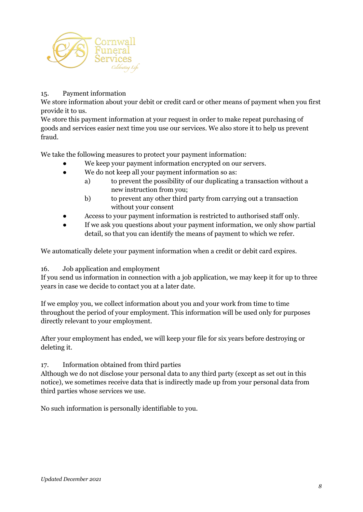

## 15. Payment information

We store information about your debit or credit card or other means of payment when you first provide it to us.

We store this payment information at your request in order to make repeat purchasing of goods and services easier next time you use our services. We also store it to help us prevent fraud.

We take the following measures to protect your payment information:

- We keep your payment information encrypted on our servers.
- We do not keep all your payment information so as:
	- a) to prevent the possibility of our duplicating a transaction without a new instruction from you;
	- b) to prevent any other third party from carrying out a transaction without your consent
- Access to your payment information is restricted to authorised staff only.
- If we ask you questions about your payment information, we only show partial detail, so that you can identify the means of payment to which we refer.

We automatically delete your payment information when a credit or debit card expires.

#### 16. Job application and employment

If you send us information in connection with a job application, we may keep it for up to three years in case we decide to contact you at a later date.

If we employ you, we collect information about you and your work from time to time throughout the period of your employment. This information will be used only for purposes directly relevant to your employment.

After your employment has ended, we will keep your file for six years before destroying or deleting it.

## 17. Information obtained from third parties

Although we do not disclose your personal data to any third party (except as set out in this notice), we sometimes receive data that is indirectly made up from your personal data from third parties whose services we use.

No such information is personally identifiable to you.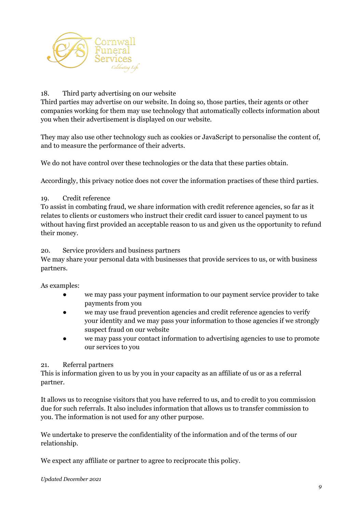

## 18. Third party advertising on our website

Third parties may advertise on our website. In doing so, those parties, their agents or other companies working for them may use technology that automatically collects information about you when their advertisement is displayed on our website.

They may also use other technology such as cookies or JavaScript to personalise the content of, and to measure the performance of their adverts.

We do not have control over these technologies or the data that these parties obtain.

Accordingly, this privacy notice does not cover the information practises of these third parties.

## 19. Credit reference

To assist in combating fraud, we share information with credit reference agencies, so far as it relates to clients or customers who instruct their credit card issuer to cancel payment to us without having first provided an acceptable reason to us and given us the opportunity to refund their money.

## 20. Service providers and business partners

We may share your personal data with businesses that provide services to us, or with business partners.

As examples:

- we may pass your payment information to our payment service provider to take payments from you
- we may use fraud prevention agencies and credit reference agencies to verify your identity and we may pass your information to those agencies if we strongly suspect fraud on our website
- we may pass your contact information to advertising agencies to use to promote our services to you

## 21. Referral partners

This is information given to us by you in your capacity as an affiliate of us or as a referral partner.

It allows us to recognise visitors that you have referred to us, and to credit to you commission due for such referrals. It also includes information that allows us to transfer commission to you. The information is not used for any other purpose.

We undertake to preserve the confidentiality of the information and of the terms of our relationship.

We expect any affiliate or partner to agree to reciprocate this policy.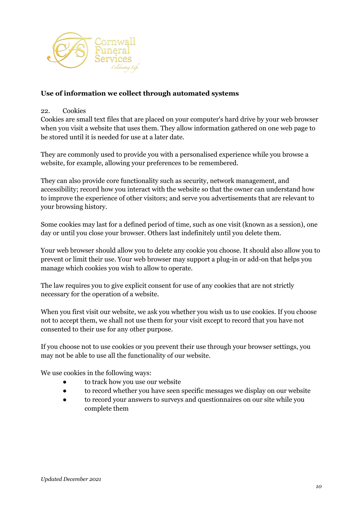

## **Use of information we collect through automated systems**

#### 22. Cookies

Cookies are small text files that are placed on your computer's hard drive by your web browser when you visit a website that uses them. They allow information gathered on one web page to be stored until it is needed for use at a later date.

They are commonly used to provide you with a personalised experience while you browse a website, for example, allowing your preferences to be remembered.

They can also provide core functionality such as security, network management, and accessibility; record how you interact with the website so that the owner can understand how to improve the experience of other visitors; and serve you advertisements that are relevant to your browsing history.

Some cookies may last for a defined period of time, such as one visit (known as a session), one day or until you close your browser. Others last indefinitely until you delete them.

Your web browser should allow you to delete any cookie you choose. It should also allow you to prevent or limit their use. Your web browser may support a plug-in or add-on that helps you manage which cookies you wish to allow to operate.

The law requires you to give explicit consent for use of any cookies that are not strictly necessary for the operation of a website.

When you first visit our website, we ask you whether you wish us to use cookies. If you choose not to accept them, we shall not use them for your visit except to record that you have not consented to their use for any other purpose.

If you choose not to use cookies or you prevent their use through your browser settings, you may not be able to use all the functionality of our website.

We use cookies in the following ways:

- to track how you use our website
- to record whether you have seen specific messages we display on our website
- to record your answers to surveys and questionnaires on our site while you complete them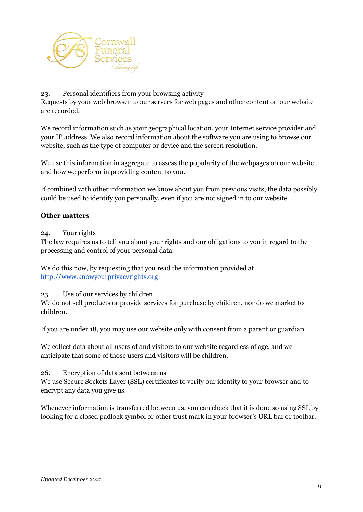

#### 23. Personal identifiers from your browsing activity

Requests by your web browser to our servers for web pages and other content on our website are recorded.

We record information such as your geographical location, your Internet service provider and your IP address. We also record information about the software you are using to browse our website, such as the type of computer or device and the screen resolution.

We use this information in aggregate to assess the popularity of the webpages on our website and how we perform in providing content to you.

If combined with other information we know about you from previous visits, the data possibly could be used to identify you personally, even if you are not signed in to our website.

## **Other matters**

#### 24. Your rights

The law requires us to tell you about your rights and our obligations to you in regard to the processing and control of your personal data.

We do this now, by requesting that you read the information provided at <http://www.knowyourprivacyrights.org>

25. Use of our services by children

We do not sell products or provide services for purchase by children, nor do we market to children.

If you are under 18, you may use our website only with consent from a parent or guardian.

We collect data about all users of and visitors to our website regardless of age, and we anticipate that some of those users and visitors will be children.

26. Encryption of data sent between us

We use Secure Sockets Layer (SSL) certificates to verify our identity to your browser and to encrypt any data you give us.

Whenever information is transferred between us, you can check that it is done so using SSL by looking for a closed padlock symbol or other trust mark in your browser's URL bar or toolbar.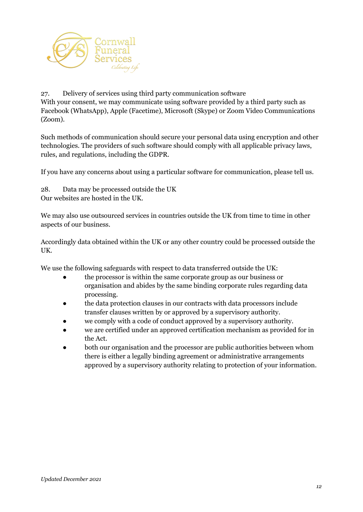

27. Delivery of services using third party communication software With your consent, we may communicate using software provided by a third party such as Facebook (WhatsApp), Apple (Facetime), Microsoft (Skype) or Zoom Video Communications (Zoom).

Such methods of communication should secure your personal data using encryption and other technologies. The providers of such software should comply with all applicable privacy laws, rules, and regulations, including the GDPR.

If you have any concerns about using a particular software for communication, please tell us.

28. Data may be processed outside the UK Our websites are hosted in the UK.

We may also use outsourced services in countries outside the UK from time to time in other aspects of our business.

Accordingly data obtained within the UK or any other country could be processed outside the UK.

We use the following safeguards with respect to data transferred outside the UK:

- the processor is within the same corporate group as our business or organisation and abides by the same binding corporate rules regarding data processing.
- the data protection clauses in our contracts with data processors include transfer clauses written by or approved by a supervisory authority.
- we comply with a code of conduct approved by a supervisory authority.
- we are certified under an approved certification mechanism as provided for in the Act.
- both our organisation and the processor are public authorities between whom there is either a legally binding agreement or administrative arrangements approved by a supervisory authority relating to protection of your information.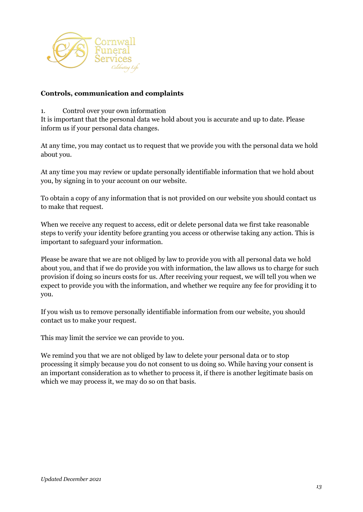

#### **Controls, communication and complaints**

1. Control over your own information

It is important that the personal data we hold about you is accurate and up to date. Please inform us if your personal data changes.

At any time, you may contact us to request that we provide you with the personal data we hold about you.

At any time you may review or update personally identifiable information that we hold about you, by signing in to your account on our website.

To obtain a copy of any information that is not provided on our website you should contact us to make that request.

When we receive any request to access, edit or delete personal data we first take reasonable steps to verify your identity before granting you access or otherwise taking any action. This is important to safeguard your information.

Please be aware that we are not obliged by law to provide you with all personal data we hold about you, and that if we do provide you with information, the law allows us to charge for such provision if doing so incurs costs for us. After receiving your request, we will tell you when we expect to provide you with the information, and whether we require any fee for providing it to you.

If you wish us to remove personally identifiable information from our website, you should contact us to make your request.

This may limit the service we can provide to you.

We remind you that we are not obliged by law to delete your personal data or to stop processing it simply because you do not consent to us doing so. While having your consent is an important consideration as to whether to process it, if there is another legitimate basis on which we may process it, we may do so on that basis.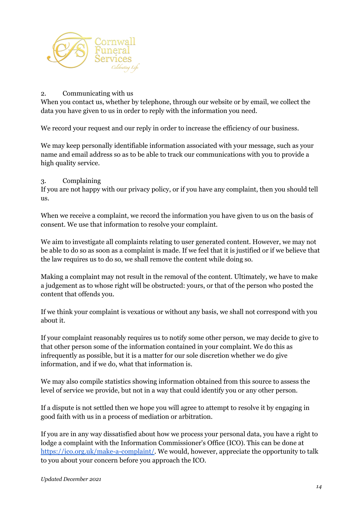

#### 2. Communicating with us

When you contact us, whether by telephone, through our website or by email, we collect the data you have given to us in order to reply with the information you need.

We record your request and our reply in order to increase the efficiency of our business.

We may keep personally identifiable information associated with your message, such as your name and email address so as to be able to track our communications with you to provide a high quality service.

## 3. Complaining

If you are not happy with our privacy policy, or if you have any complaint, then you should tell us.

When we receive a complaint, we record the information you have given to us on the basis of consent. We use that information to resolve your complaint.

We aim to investigate all complaints relating to user generated content. However, we may not be able to do so as soon as a complaint is made. If we feel that it is justified or if we believe that the law requires us to do so, we shall remove the content while doing so.

Making a complaint may not result in the removal of the content. Ultimately, we have to make a judgement as to whose right will be obstructed: yours, or that of the person who posted the content that offends you.

If we think your complaint is vexatious or without any basis, we shall not correspond with you about it.

If your complaint reasonably requires us to notify some other person, we may decide to give to that other person some of the information contained in your complaint. We do this as infrequently as possible, but it is a matter for our sole discretion whether we do give information, and if we do, what that information is.

We may also compile statistics showing information obtained from this source to assess the level of service we provide, but not in a way that could identify you or any other person.

If a dispute is not settled then we hope you will agree to attempt to resolve it by engaging in good faith with us in a process of mediation or arbitration.

If you are in any way dissatisfied about how we process your personal data, you have a right to lodge a complaint with the Information Commissioner's Office (ICO). This can be done at [https://ico.org.uk/make-a-complaint/.](https://ico.org.uk/make-a-complaint/) We would, however, appreciate the opportunity to talk to you about your concern before you approach the ICO.